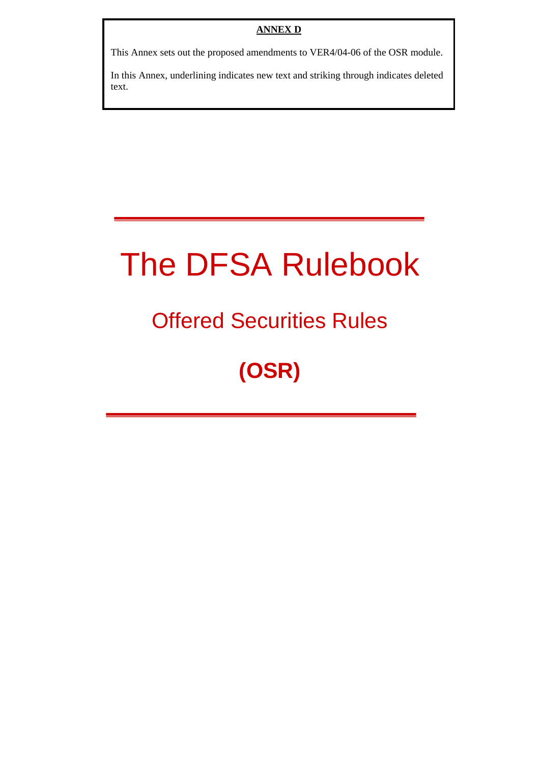This Annex sets out the proposed amendments to VER4/04-06 of the OSR module.

In this Annex, underlining indicates new text and striking through indicates deleted text.

# The DFSA Rulebook

## Offered Securities Rules

## **(OSR)**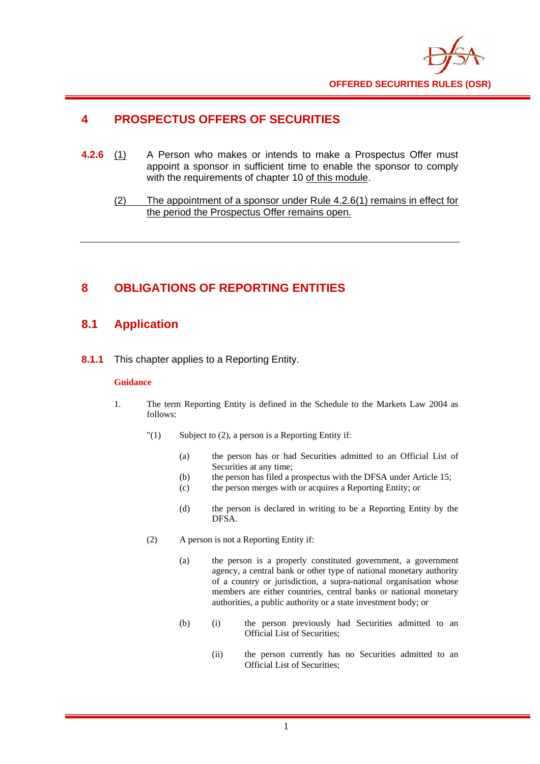

## **4 PROSPECTUS OFFERS OF SECURITIES**

- **4.2.6** (1) A Person who makes or intends to make a Prospectus Offer must appoint a sponsor in sufficient time to enable the sponsor to comply with the requirements of chapter 10 of this module.
	- (2) The appointment of a sponsor under Rule 4.2.6(1) remains in effect for the period the Prospectus Offer remains open.

## **8 OBLIGATIONS OF REPORTING ENTITIES**

### **8.1 Application**

**8.1.1** This chapter applies to a Reporting Entity.

#### **Guidance**

- 1. The term Reporting Entity is defined in the Schedule to the Markets Law 2004 as follows:
	- $"(1)$  Subject to (2), a person is a Reporting Entity if:
		- (a) the person has or had Securities admitted to an Official List of Securities at any time;
		- (b) the person has filed a prospectus with the DFSA under Article 15;
		- (c) the person merges with or acquires a Reporting Entity; or
		- (d) the person is declared in writing to be a Reporting Entity by the DFSA.
	- (2) A person is not a Reporting Entity if:
		- (a) the person is a properly constituted government, a government agency, a central bank or other type of national monetary authority of a country or jurisdiction, a supra-national organisation whose members are either countries, central banks or national monetary authorities, a public authority or a state investment body; or
		- (b) (i) the person previously had Securities admitted to an Official List of Securities;
			- (ii) the person currently has no Securities admitted to an Official List of Securities;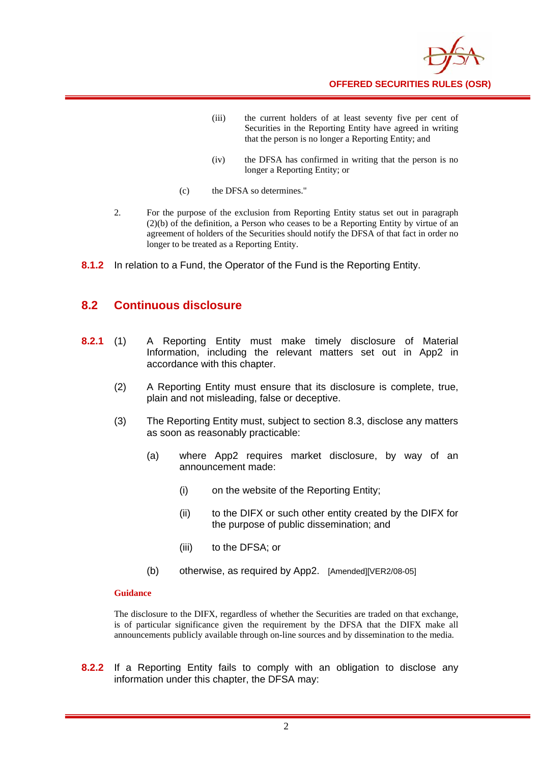

- (iii) the current holders of at least seventy five per cent of Securities in the Reporting Entity have agreed in writing that the person is no longer a Reporting Entity; and
- (iv) the DFSA has confirmed in writing that the person is no longer a Reporting Entity; or
- (c) the DFSA so determines."
- 2. For the purpose of the exclusion from Reporting Entity status set out in paragraph (2)(b) of the definition, a Person who ceases to be a Reporting Entity by virtue of an agreement of holders of the Securities should notify the DFSA of that fact in order no longer to be treated as a Reporting Entity.
- **8.1.2** In relation to a Fund, the Operator of the Fund is the Reporting Entity.

### **8.2 Continuous disclosure**

- **8.2.1** (1) A Reporting Entity must make timely disclosure of Material Information, including the relevant matters set out in App2 in accordance with this chapter.
	- (2) A Reporting Entity must ensure that its disclosure is complete, true, plain and not misleading, false or deceptive.
	- (3) The Reporting Entity must, subject to section 8.3, disclose any matters as soon as reasonably practicable:
		- (a) where App2 requires market disclosure, by way of an announcement made:
			- (i) on the website of the Reporting Entity;
			- (ii) to the DIFX or such other entity created by the DIFX for the purpose of public dissemination; and
			- (iii) to the DFSA; or
		- (b) otherwise, as required by App2. [Amended][VER2/08-05]

#### **Guidance**

The disclosure to the DIFX, regardless of whether the Securities are traded on that exchange, is of particular significance given the requirement by the DFSA that the DIFX make all announcements publicly available through on-line sources and by dissemination to the media.

**8.2.2** If a Reporting Entity fails to comply with an obligation to disclose any information under this chapter, the DFSA may: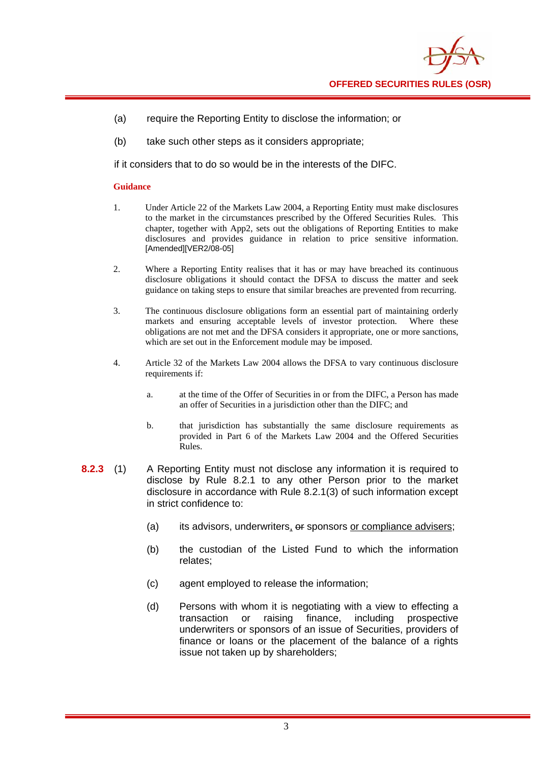

- (a) require the Reporting Entity to disclose the information; or
- (b) take such other steps as it considers appropriate;

if it considers that to do so would be in the interests of the DIFC.

#### **Guidance**

- 1. Under Article 22 of the Markets Law 2004, a Reporting Entity must make disclosures to the market in the circumstances prescribed by the Offered Securities Rules. This chapter, together with App2, sets out the obligations of Reporting Entities to make disclosures and provides guidance in relation to price sensitive information. [Amended][VER2/08-05]
- 2. Where a Reporting Entity realises that it has or may have breached its continuous disclosure obligations it should contact the DFSA to discuss the matter and seek guidance on taking steps to ensure that similar breaches are prevented from recurring.
- 3. The continuous disclosure obligations form an essential part of maintaining orderly markets and ensuring acceptable levels of investor protection. Where these obligations are not met and the DFSA considers it appropriate, one or more sanctions, which are set out in the Enforcement module may be imposed.
- 4. Article 32 of the Markets Law 2004 allows the DFSA to vary continuous disclosure requirements if:
	- a. at the time of the Offer of Securities in or from the DIFC, a Person has made an offer of Securities in a jurisdiction other than the DIFC; and
	- b. that jurisdiction has substantially the same disclosure requirements as provided in Part 6 of the Markets Law 2004 and the Offered Securities Rules.
- **8.2.3** (1) A Reporting Entity must not disclose any information it is required to disclose by Rule 8.2.1 to any other Person prior to the market disclosure in accordance with Rule 8.2.1(3) of such information except in strict confidence to:
	- (a) its advisors, underwriters, or sponsors or compliance advisers;
	- (b) the custodian of the Listed Fund to which the information relates;
	- (c) agent employed to release the information;
	- (d) Persons with whom it is negotiating with a view to effecting a transaction or raising finance, including prospective underwriters or sponsors of an issue of Securities, providers of finance or loans or the placement of the balance of a rights issue not taken up by shareholders;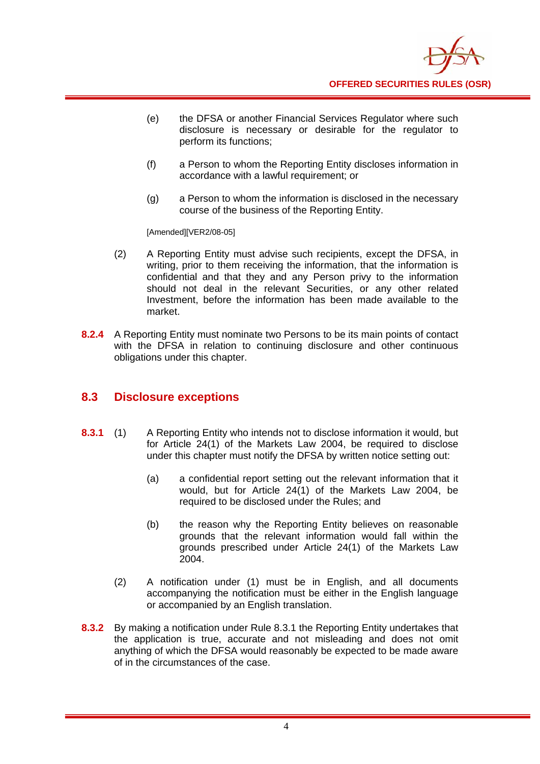

- (e) the DFSA or another Financial Services Regulator where such disclosure is necessary or desirable for the regulator to perform its functions;
- (f) a Person to whom the Reporting Entity discloses information in accordance with a lawful requirement; or
- (g) a Person to whom the information is disclosed in the necessary course of the business of the Reporting Entity.

[Amended][VER2/08-05]

- (2) A Reporting Entity must advise such recipients, except the DFSA, in writing, prior to them receiving the information, that the information is confidential and that they and any Person privy to the information should not deal in the relevant Securities, or any other related Investment, before the information has been made available to the market.
- **8.2.4** A Reporting Entity must nominate two Persons to be its main points of contact with the DFSA in relation to continuing disclosure and other continuous obligations under this chapter.

### **8.3 Disclosure exceptions**

- **8.3.1** (1) A Reporting Entity who intends not to disclose information it would, but for Article 24(1) of the Markets Law 2004, be required to disclose under this chapter must notify the DFSA by written notice setting out:
	- (a) a confidential report setting out the relevant information that it would, but for Article 24(1) of the Markets Law 2004, be required to be disclosed under the Rules; and
	- (b) the reason why the Reporting Entity believes on reasonable grounds that the relevant information would fall within the grounds prescribed under Article 24(1) of the Markets Law 2004.
	- (2) A notification under (1) must be in English, and all documents accompanying the notification must be either in the English language or accompanied by an English translation.
- **8.3.2** By making a notification under Rule 8.3.1 the Reporting Entity undertakes that the application is true, accurate and not misleading and does not omit anything of which the DFSA would reasonably be expected to be made aware of in the circumstances of the case.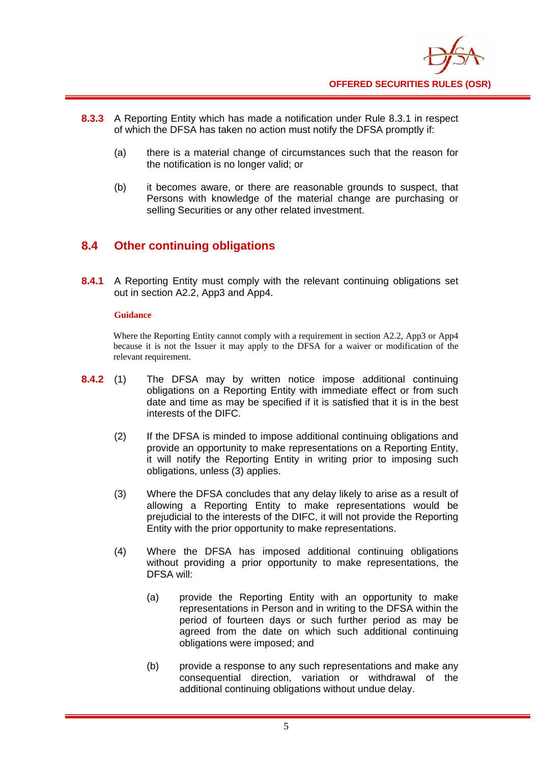

- **8.3.3** A Reporting Entity which has made a notification under Rule 8.3.1 in respect of which the DFSA has taken no action must notify the DFSA promptly if:
	- (a) there is a material change of circumstances such that the reason for the notification is no longer valid; or
	- (b) it becomes aware, or there are reasonable grounds to suspect, that Persons with knowledge of the material change are purchasing or selling Securities or any other related investment.

## **8.4 Other continuing obligations**

**8.4.1** A Reporting Entity must comply with the relevant continuing obligations set out in section A2.2, App3 and App4.

#### **Guidance**

Where the Reporting Entity cannot comply with a requirement in section A2.2, App3 or App4 because it is not the Issuer it may apply to the DFSA for a waiver or modification of the relevant requirement.

- **8.4.2** (1) The DFSA may by written notice impose additional continuing obligations on a Reporting Entity with immediate effect or from such date and time as may be specified if it is satisfied that it is in the best interests of the DIFC.
	- (2) If the DFSA is minded to impose additional continuing obligations and provide an opportunity to make representations on a Reporting Entity, it will notify the Reporting Entity in writing prior to imposing such obligations, unless (3) applies.
	- (3) Where the DFSA concludes that any delay likely to arise as a result of allowing a Reporting Entity to make representations would be prejudicial to the interests of the DIFC, it will not provide the Reporting Entity with the prior opportunity to make representations.
	- (4) Where the DFSA has imposed additional continuing obligations without providing a prior opportunity to make representations, the DFSA will:
		- (a) provide the Reporting Entity with an opportunity to make representations in Person and in writing to the DFSA within the period of fourteen days or such further period as may be agreed from the date on which such additional continuing obligations were imposed; and
		- (b) provide a response to any such representations and make any consequential direction, variation or withdrawal of the additional continuing obligations without undue delay.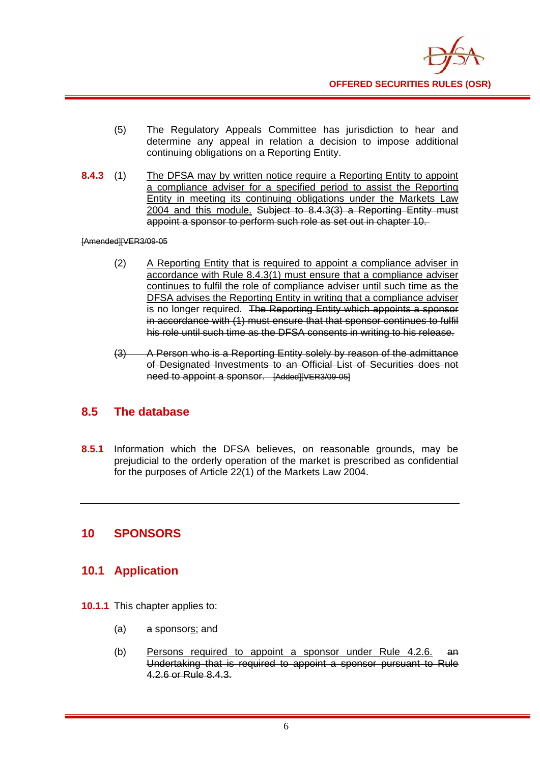

- (5) The Regulatory Appeals Committee has jurisdiction to hear and determine any appeal in relation a decision to impose additional continuing obligations on a Reporting Entity.
- **8.4.3** (1) The DFSA may by written notice require a Reporting Entity to appoint a compliance adviser for a specified period to assist the Reporting Entity in meeting its continuing obligations under the Markets Law 2004 and this module. Subject to 8.4.3(3) a Reporting Entity must appoint a sponsor to perform such role as set out in chapter 10.

[Amended][VER3/09-05

- (2) A Reporting Entity that is required to appoint a compliance adviser in accordance with Rule 8.4.3(1) must ensure that a compliance adviser continues to fulfil the role of compliance adviser until such time as the DFSA advises the Reporting Entity in writing that a compliance adviser is no longer required. The Reporting Entity which appoints a sponsor in accordance with (1) must ensure that that sponsor continues to fulfil his role until such time as the DFSA consents in writing to his release.
- (3) A Person who is a Reporting Entity solely by reason of the admittance of Designated Investments to an Official List of Securities does not need to appoint a sponsor. [Added][VER3/09-05]

#### **8.5 The database**

**8.5.1** Information which the DFSA believes, on reasonable grounds, may be prejudicial to the orderly operation of the market is prescribed as confidential for the purposes of Article 22(1) of the Markets Law 2004.

#### **10 SPONSORS**

#### **10.1 Application**

- **10.1.1** This chapter applies to:
	- (a) a sponsors; and
	- (b) Persons required to appoint a sponsor under Rule 4.2.6. an Undertaking that is required to appoint a sponsor pursuant to Rule 4.2.6 or Rule 8.4.3.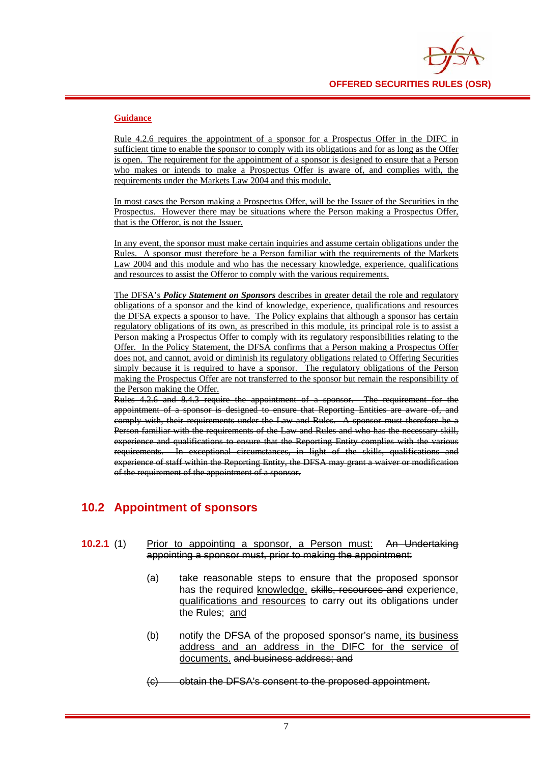

#### **Guidance**

Rule 4.2.6 requires the appointment of a sponsor for a Prospectus Offer in the DIFC in sufficient time to enable the sponsor to comply with its obligations and for as long as the Offer is open. The requirement for the appointment of a sponsor is designed to ensure that a Person who makes or intends to make a Prospectus Offer is aware of, and complies with, the requirements under the Markets Law 2004 and this module.

In most cases the Person making a Prospectus Offer, will be the Issuer of the Securities in the Prospectus. However there may be situations where the Person making a Prospectus Offer, that is the Offeror, is not the Issuer.

In any event, the sponsor must make certain inquiries and assume certain obligations under the Rules. A sponsor must therefore be a Person familiar with the requirements of the Markets Law 2004 and this module and who has the necessary knowledge, experience, qualifications and resources to assist the Offeror to comply with the various requirements.

The DFSA's *Policy Statement on Sponsors* describes in greater detail the role and regulatory obligations of a sponsor and the kind of knowledge, experience, qualifications and resources the DFSA expects a sponsor to have. The Policy explains that although a sponsor has certain regulatory obligations of its own, as prescribed in this module, its principal role is to assist a Person making a Prospectus Offer to comply with its regulatory responsibilities relating to the Offer. In the Policy Statement, the DFSA confirms that a Person making a Prospectus Offer does not, and cannot, avoid or diminish its regulatory obligations related to Offering Securities simply because it is required to have a sponsor. The regulatory obligations of the Person making the Prospectus Offer are not transferred to the sponsor but remain the responsibility of the Person making the Offer.

Rules 4.2.6 and 8.4.3 require the appointment of a sponsor. The requirement for the appointment of a sponsor is designed to ensure that Reporting Entities are aware of, and comply with, their requirements under the Law and Rules. A sponsor must therefore be a Person familiar with the requirements of the Law and Rules and who has the necessary skill, experience and qualifications to ensure that the Reporting Entity complies with the various requirements. In exceptional circumstances, in light of the skills, qualifications and experience of staff within the Reporting Entity, the DFSA may grant a waiver or modification of the requirement of the appointment of a sponsor.

## **10.2 Appointment of sponsors**

- **10.2.1** (1) Prior to appointing a sponsor, a Person must: An Undertaking appointing a sponsor must, prior to making the appointment:
	- (a) take reasonable steps to ensure that the proposed sponsor has the required knowledge, skills, resources and experience, qualifications and resources to carry out its obligations under the Rules; and
	- (b) notify the DFSA of the proposed sponsor's name, its business address and an address in the DIFC for the service of documents. and business address; and
	- (c) obtain the DFSA's consent to the proposed appointment.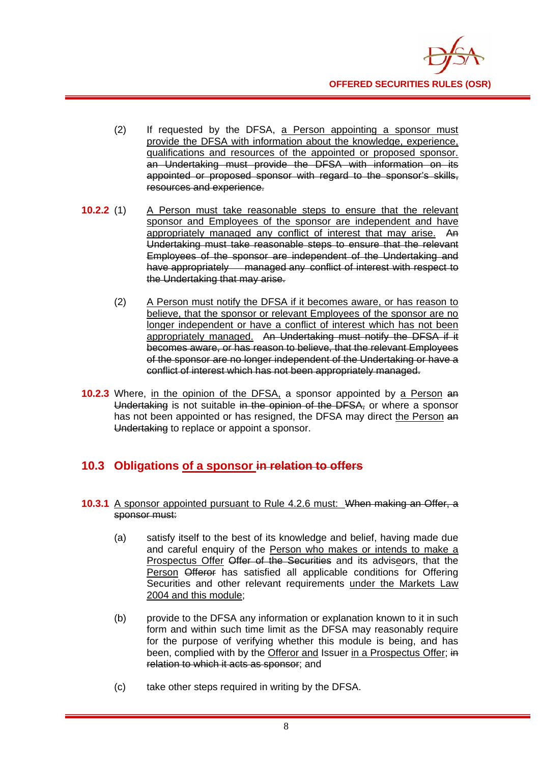

- (2) If requested by the DFSA, a Person appointing a sponsor must provide the DFSA with information about the knowledge, experience, qualifications and resources of the appointed or proposed sponsor. an Undertaking must provide the DFSA with information on its appointed or proposed sponsor with regard to the sponsor's skills, resources and experience.
- **10.2.2** (1) A Person must take reasonable steps to ensure that the relevant sponsor and Employees of the sponsor are independent and have appropriately managed any conflict of interest that may arise. An Undertaking must take reasonable steps to ensure that the relevant Employees of the sponsor are independent of the Undertaking and have appropriately managed any conflict of interest with respect to the Undertaking that may arise.
	- (2) A Person must notify the DFSA if it becomes aware, or has reason to believe, that the sponsor or relevant Employees of the sponsor are no longer independent or have a conflict of interest which has not been appropriately managed. An Undertaking must notify the DFSA if it becomes aware, or has reason to believe, that the relevant Employees of the sponsor are no longer independent of the Undertaking or have a conflict of interest which has not been appropriately managed.
- **10.2.3** Where, in the opinion of the DFSA, a sponsor appointed by a Person an Undertaking is not suitable in the opinion of the DFSA, or where a sponsor has not been appointed or has resigned, the DFSA may direct the Person and Undertaking to replace or appoint a sponsor.

### **10.3 Obligations of a sponsor in relation to offers**

#### **10.3.1** A sponsor appointed pursuant to Rule 4.2.6 must: When making an Offer, a sponsor must:

- (a) satisfy itself to the best of its knowledge and belief, having made due and careful enquiry of the Person who makes or intends to make a Prospectus Offer Offer of the Securities and its adviseers, that the Person Offeror has satisfied all applicable conditions for Offering Securities and other relevant requirements under the Markets Law 2004 and this module;
- (b) provide to the DFSA any information or explanation known to it in such form and within such time limit as the DFSA may reasonably require for the purpose of verifying whether this module is being, and has been, complied with by the Offeror and Issuer in a Prospectus Offer; in relation to which it acts as sponsor; and
- (c) take other steps required in writing by the DFSA.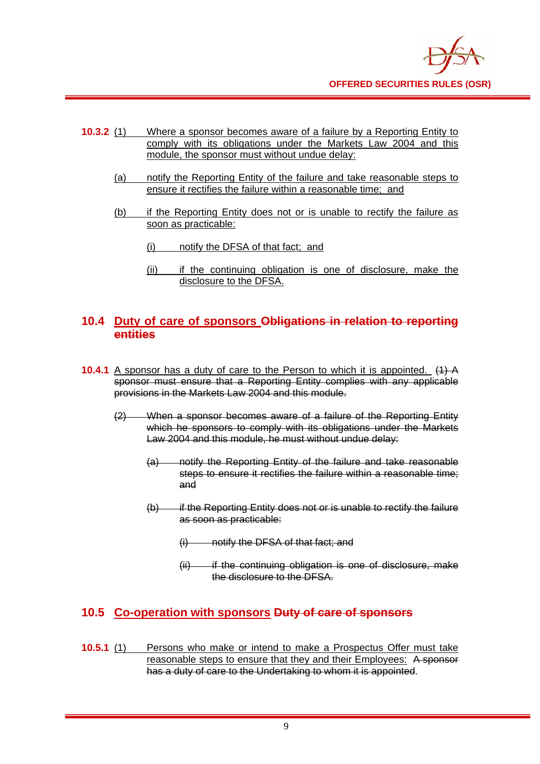

- **10.3.2** (1) Where a sponsor becomes aware of a failure by a Reporting Entity to comply with its obligations under the Markets Law 2004 and this module, the sponsor must without undue delay:
	- (a) notify the Reporting Entity of the failure and take reasonable steps to ensure it rectifies the failure within a reasonable time; and
	- (b) if the Reporting Entity does not or is unable to rectify the failure as soon as practicable:
		- (i) notify the DFSA of that fact; and
		- (ii) if the continuing obligation is one of disclosure, make the disclosure to the DFSA.

### **10.4 Duty of care of sponsors Obligations in relation to reporting entities**

- **10.4.1** A sponsor has a duty of care to the Person to which it is appointed. (1) A sponsor must ensure that a Reporting Entity complies with any applicable provisions in the Markets Law 2004 and this module.
	- (2) When a sponsor becomes aware of a failure of the Reporting Entity which he sponsors to comply with its obligations under the Markets Law 2004 and this module, he must without undue delay:
		- (a) notify the Reporting Entity of the failure and take reasonable steps to ensure it rectifies the failure within a reasonable time; and
		- $(b)$  if the Reporting Entity does not or is unable to rectify the failure as soon as practicable:
			- (i) notify the DFSA of that fact; and
			- $(i)$  if the continuing obligation is one of disclosure, make the disclosure to the DFSA.

### **10.5 Co-operation with sponsors Duty of care of sponsors**

**10.5.1** (1) Persons who make or intend to make a Prospectus Offer must take reasonable steps to ensure that they and their Employees: A sponsor has a duty of care to the Undertaking to whom it is appointed.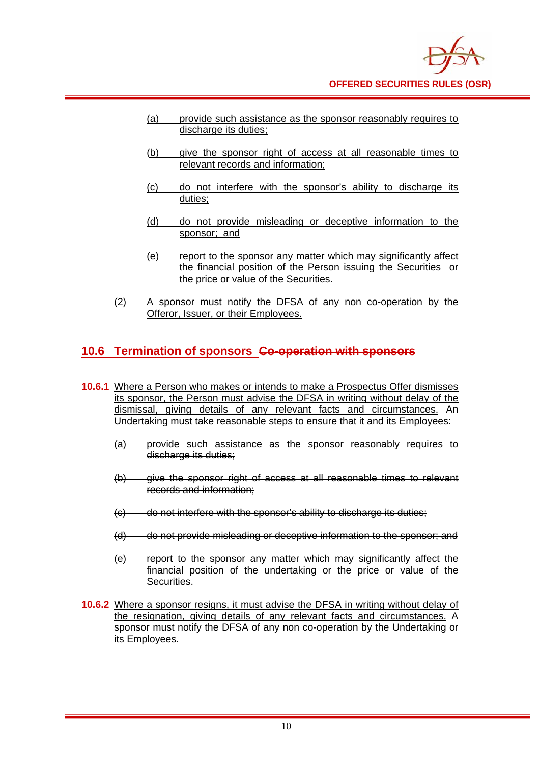- (a) provide such assistance as the sponsor reasonably requires to discharge its duties:
- (b) give the sponsor right of access at all reasonable times to relevant records and information;
- (c) do not interfere with the sponsor's ability to discharge its duties;
- (d) do not provide misleading or deceptive information to the sponsor; and
- (e) report to the sponsor any matter which may significantly affect the financial position of the Person issuing the Securities or the price or value of the Securities.
- (2) A sponsor must notify the DFSA of any non co-operation by the Offeror, Issuer, or their Employees.

## **10.6 Termination of sponsors Co-operation with sponsors**

- **10.6.1** Where a Person who makes or intends to make a Prospectus Offer dismisses its sponsor, the Person must advise the DFSA in writing without delay of the dismissal, giving details of any relevant facts and circumstances. An Undertaking must take reasonable steps to ensure that it and its Employees:
	- (a) provide such assistance as the sponsor reasonably requires to discharge its duties:
	- (b) give the sponsor right of access at all reasonable times to relevant records and information;
	- (c) do not interfere with the sponsor's ability to discharge its duties;
	- (d) do not provide misleading or deceptive information to the sponsor; and
	- (e) report to the sponsor any matter which may significantly affect the financial position of the undertaking or the price or value of the Securities.
- **10.6.2** Where a sponsor resigns, it must advise the DFSA in writing without delay of the resignation, giving details of any relevant facts and circumstances. A sponsor must notify the DFSA of any non co-operation by the Undertaking or its Employees.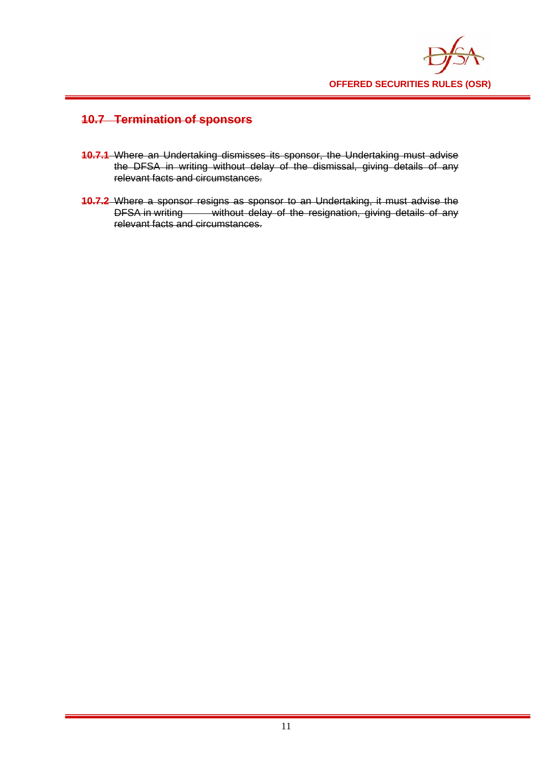

## **10.7 Termination of sponsors**

- **10.7.1** Where an Undertaking dismisses its sponsor, the Undertaking must advise the DFSA in writing without delay of the dismissal, giving details of any relevant facts and circumstances.
- **10.7.2** Where a sponsor resigns as sponsor to an Undertaking, it must advise the DFSA in writing without delay of the resignation, giving details of any relevant facts and circumstances.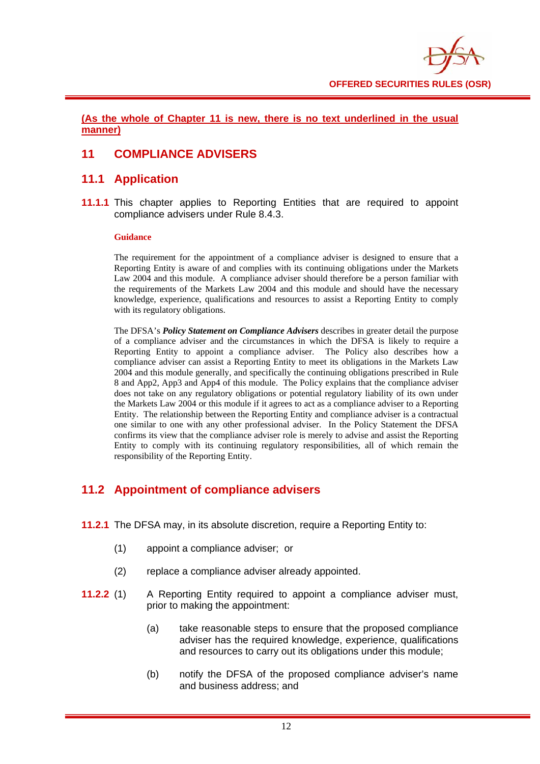

**(As the whole of Chapter 11 is new, there is no text underlined in the usual manner)**

### **11 COMPLIANCE ADVISERS**

#### **11.1 Application**

**11.1.1** This chapter applies to Reporting Entities that are required to appoint compliance advisers under Rule 8.4.3.

#### **Guidance**

 The requirement for the appointment of a compliance adviser is designed to ensure that a Reporting Entity is aware of and complies with its continuing obligations under the Markets Law 2004 and this module. A compliance adviser should therefore be a person familiar with the requirements of the Markets Law 2004 and this module and should have the necessary knowledge, experience, qualifications and resources to assist a Reporting Entity to comply with its regulatory obligations.

 The DFSA's *Policy Statement on Compliance Advisers* describes in greater detail the purpose of a compliance adviser and the circumstances in which the DFSA is likely to require a Reporting Entity to appoint a compliance adviser. The Policy also describes how a compliance adviser can assist a Reporting Entity to meet its obligations in the Markets Law 2004 and this module generally, and specifically the continuing obligations prescribed in Rule 8 and App2, App3 and App4 of this module. The Policy explains that the compliance adviser does not take on any regulatory obligations or potential regulatory liability of its own under the Markets Law 2004 or this module if it agrees to act as a compliance adviser to a Reporting Entity. The relationship between the Reporting Entity and compliance adviser is a contractual one similar to one with any other professional adviser. In the Policy Statement the DFSA confirms its view that the compliance adviser role is merely to advise and assist the Reporting Entity to comply with its continuing regulatory responsibilities, all of which remain the responsibility of the Reporting Entity.

### **11.2 Appointment of compliance advisers**

- **11.2.1** The DFSA may, in its absolute discretion, require a Reporting Entity to:
	- (1) appoint a compliance adviser; or
	- (2) replace a compliance adviser already appointed.
- **11.2.2** (1) A Reporting Entity required to appoint a compliance adviser must, prior to making the appointment:
	- (a) take reasonable steps to ensure that the proposed compliance adviser has the required knowledge, experience, qualifications and resources to carry out its obligations under this module;
	- (b) notify the DFSA of the proposed compliance adviser's name and business address; and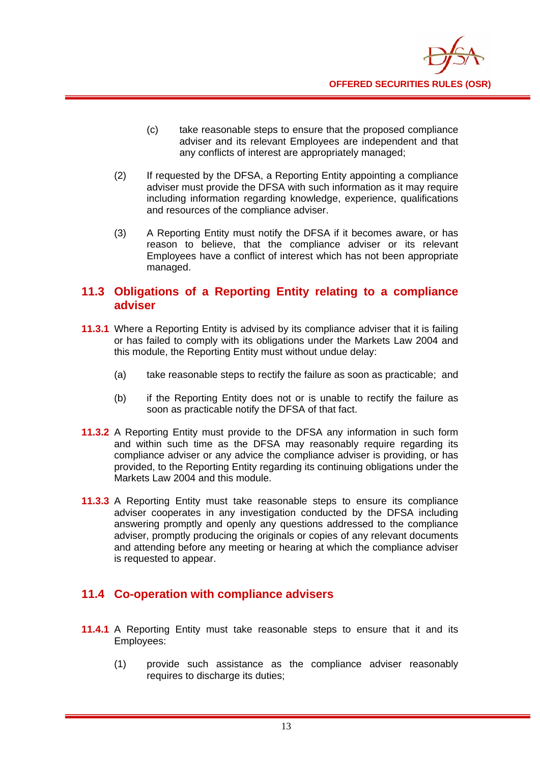

- (c) take reasonable steps to ensure that the proposed compliance adviser and its relevant Employees are independent and that any conflicts of interest are appropriately managed;
- (2) If requested by the DFSA, a Reporting Entity appointing a compliance adviser must provide the DFSA with such information as it may require including information regarding knowledge, experience, qualifications and resources of the compliance adviser.
- (3) A Reporting Entity must notify the DFSA if it becomes aware, or has reason to believe, that the compliance adviser or its relevant Employees have a conflict of interest which has not been appropriate managed.

#### **11.3 Obligations of a Reporting Entity relating to a compliance adviser**

- **11.3.1** Where a Reporting Entity is advised by its compliance adviser that it is failing or has failed to comply with its obligations under the Markets Law 2004 and this module, the Reporting Entity must without undue delay:
	- (a) take reasonable steps to rectify the failure as soon as practicable; and
	- (b) if the Reporting Entity does not or is unable to rectify the failure as soon as practicable notify the DFSA of that fact.
- **11.3.2** A Reporting Entity must provide to the DFSA any information in such form and within such time as the DFSA may reasonably require regarding its compliance adviser or any advice the compliance adviser is providing, or has provided, to the Reporting Entity regarding its continuing obligations under the Markets Law 2004 and this module.
- **11.3.3** A Reporting Entity must take reasonable steps to ensure its compliance adviser cooperates in any investigation conducted by the DFSA including answering promptly and openly any questions addressed to the compliance adviser, promptly producing the originals or copies of any relevant documents and attending before any meeting or hearing at which the compliance adviser is requested to appear.

#### **11.4 Co-operation with compliance advisers**

- **11.4.1** A Reporting Entity must take reasonable steps to ensure that it and its Employees:
	- (1) provide such assistance as the compliance adviser reasonably requires to discharge its duties;